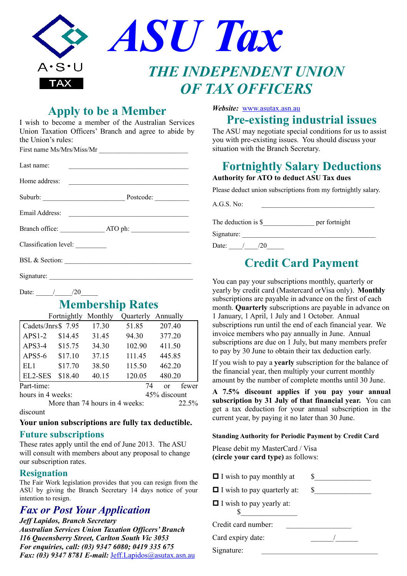|                     | ASU Tax                      |
|---------------------|------------------------------|
| $A \cdot S \cdot U$ | <b>THE INDEPENDENT UNION</b> |
| TAX                 | <b>OF TAX OFFICERS</b>       |

## **Apply to be a Member**

I wish to become a member of the Australian Services Union Taxation Officers' Branch and agree to abide by the Union's rules:

First name Ms/Mrs/Miss/Mr

| Last name:                      | <u> Alexandria de la contrada de la contrada de la contrada de la contrada de la contrada de la contrada de la c</u> |  |  |  |
|---------------------------------|----------------------------------------------------------------------------------------------------------------------|--|--|--|
|                                 |                                                                                                                      |  |  |  |
|                                 | Suburb: Postcode:                                                                                                    |  |  |  |
|                                 |                                                                                                                      |  |  |  |
|                                 |                                                                                                                      |  |  |  |
| Classification level: _________ |                                                                                                                      |  |  |  |
| BSL & Section:                  |                                                                                                                      |  |  |  |
|                                 |                                                                                                                      |  |  |  |
| Date: $\frac{1}{20}$            |                                                                                                                      |  |  |  |

## **Membership Rates**

|                    | Fortnightly Monthly            |       | Quarterly | Annually     |
|--------------------|--------------------------------|-------|-----------|--------------|
| Cadets/Jnrs\$ 7.95 |                                | 17.30 | 51.85     | 207.40       |
| $APS1-2$           | \$14.45                        | 31.45 | 94.30     | 377.20       |
| $APS3-4$           | \$15.75                        | 34.30 | 102.90    | 411.50       |
| APS5-6             | \$17.10                        | 37.15 | 111.45    | 445.85       |
| EL1                | \$17.70                        | 38.50 | 115.50    | 462.20       |
| EL2-SES            | \$18.40                        | 40.15 | 120.05    | 480.20       |
| Part-time:         |                                |       | 74        | fewer<br>or  |
| hours in 4 weeks:  |                                |       |           | 45% discount |
|                    | More than 74 hours in 4 weeks: |       | 22.5%     |              |

discount

#### **Your union subscriptions are fully tax deductible.**

### **Future subscriptions**

These rates apply until the end of June 2013. The ASU will consult with members about any proposal to change our subscription rates.

### **Resignation**

The Fair Work legislation provides that you can resign from the ASU by giving the Branch Secretary 14 days notice of your intention to resign.

## *Fax or Post Your Application*

*Jeff Lapidos, Branch Secretary Australian Services Union Taxation Officers' Branch 116 Queensberry Street, Carlton South Vic 3053 For enquiries, call: (03) 9347 6080; 0419 335 675 Fax: (03) 9347 8781 E-mail:* [Jeff.Lapidos@asutax.asn.au](mailto:Jeff.Lapidos@asutax.asn.au)

### *Website:* [www.asutax.asn.au](http://www.asutax.asn.au/)

# **Pre-existing industrial issues**

The ASU may negotiate special conditions for us to assist you with pre-existing issues. You should discuss your situation with the Branch Secretary.

# **Fortnightly Salary Deductions**

**Authority for ATO to deduct ASU Tax dues**

Please deduct union subscriptions from my fortnightly salary.

 $A.G.S. No:$ 

The deduction is \$\_\_\_\_\_\_\_\_\_\_\_\_\_\_\_ per fortnight

Signature: \_\_\_\_\_\_\_\_\_\_\_\_\_\_\_\_\_\_\_\_\_\_\_\_\_\_\_\_\_\_\_\_\_\_\_\_\_\_\_

Date:  $\frac{1}{20}$ 

# **Credit Card Payment**

You can pay your subscriptions monthly, quarterly or yearly by credit card (Mastercard orVisa only). **Monthly** subscriptions are payable in advance on the first of each month. **Quarterly** subscriptions are payable in advance on 1 January, 1 April, 1 July and 1 October. Annual subscriptions run until the end of each financial year. We invoice members who pay annually in June. Annual subscriptions are due on 1 July, but many members prefer to pay by 30 June to obtain their tax deduction early.

If you wish to pay a **yearly** subscription for the balance of the financial year, then multiply your current monthly amount by the number of complete months until 30 June.

**A 7.5% discount applies if you pay your annual subscription by 31 July of that financial year.** You can get a tax deduction for your annual subscription in the current year, by paying it no later than 30 June.

#### **Standing Authority for Periodic Payment by Credit Card**

Please debit my MasterCard / Visa **(circle your card type)** as follows:

| $\blacksquare$ I wish to pay monthly at    |  |
|--------------------------------------------|--|
| $\blacksquare$ I wish to pay quarterly at: |  |
| $\blacksquare$ I wish to pay yearly at:    |  |
| Credit card number:                        |  |
| Card expiry date:                          |  |
| Signature:                                 |  |